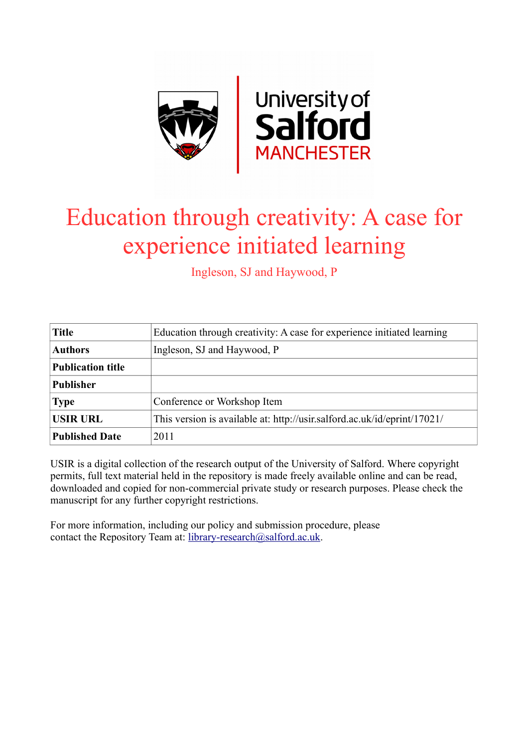

# Education through creativity: A case for experience initiated learning

Ingleson, SJ and Haywood, P

| <b>Title</b>             | Education through creativity: A case for experience initiated learning   |
|--------------------------|--------------------------------------------------------------------------|
| <b>Authors</b>           | Ingleson, SJ and Haywood, P                                              |
| <b>Publication title</b> |                                                                          |
| <b>Publisher</b>         |                                                                          |
| <b>Type</b>              | Conference or Workshop Item                                              |
| <b>USIR URL</b>          | This version is available at: http://usir.salford.ac.uk/id/eprint/17021/ |
| <b>Published Date</b>    | 2011                                                                     |

USIR is a digital collection of the research output of the University of Salford. Where copyright permits, full text material held in the repository is made freely available online and can be read, downloaded and copied for non-commercial private study or research purposes. Please check the manuscript for any further copyright restrictions.

For more information, including our policy and submission procedure, please contact the Repository Team at: [library-research@salford.ac.uk.](mailto:library-research@salford.ac.uk)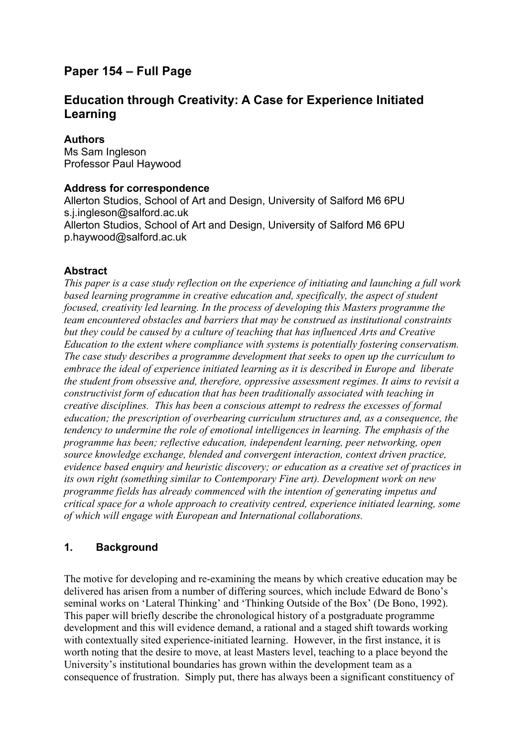# **Paper 154 – Full Page**

# **Education through Creativity: A Case for Experience Initiated Learning**

#### **Authors**

Ms Sam Ingleson Professor Paul Haywood

#### **Address for correspondence**

Allerton Studios, School of Art and Design, University of Salford M6 6PU s.j.ingleson@salford.ac.uk Allerton Studios, School of Art and Design, University of Salford M6 6PU p.haywood@salford.ac.uk

#### **Abstract**

*This paper is a case study reflection on the experience of initiating and launching a full work based learning programme in creative education and, specifically, the aspect of student focused, creativity led learning. In the process of developing this Masters programme the team encountered obstacles and barriers that may be construed as institutional constraints but they could be caused by a culture of teaching that has influenced Arts and Creative Education to the extent where compliance with systems is potentially fostering conservatism. The case study describes a programme development that seeks to open up the curriculum to embrace the ideal of experience initiated learning as it is described in Europe and liberate the student from obsessive and, therefore, oppressive assessment regimes. It aims to revisit a constructivist form of education that has been traditionally associated with teaching in creative disciplines. This has been a conscious attempt to redress the excesses of formal education; the prescription of overbearing curriculum structures and, as a consequence, the tendency to undermine the role of emotional intelligences in learning. The emphasis of the programme has been; reflective education, independent learning, peer networking, open source knowledge exchange, blended and convergent interaction, context driven practice, evidence based enquiry and heuristic discovery; or education as a creative set of practices in its own right (something similar to Contemporary Fine art). Development work on new programme fields has already commenced with the intention of generating impetus and critical space for a whole approach to creativity centred, experience initiated learning, some of which will engage with European and International collaborations.*

## **1. Background**

The motive for developing and re-examining the means by which creative education may be delivered has arisen from a number of differing sources, which include Edward de Bono's seminal works on 'Lateral Thinking' and 'Thinking Outside of the Box' (De Bono, 1992). This paper will briefly describe the chronological history of a postgraduate programme development and this will evidence demand, a rational and a staged shift towards working with contextually sited experience-initiated learning. However, in the first instance, it is worth noting that the desire to move, at least Masters level, teaching to a place beyond the University's institutional boundaries has grown within the development team as a consequence of frustration. Simply put, there has always been a significant constituency of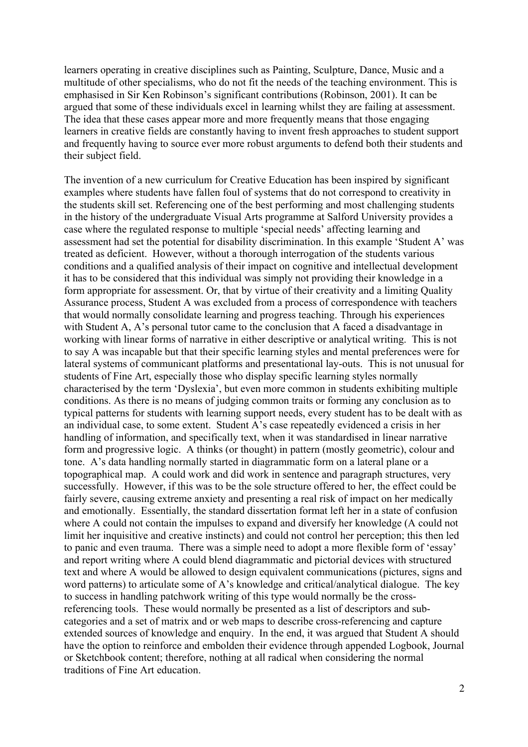learners operating in creative disciplines such as Painting, Sculpture, Dance, Music and a multitude of other specialisms, who do not fit the needs of the teaching environment. This is emphasised in Sir Ken Robinson's significant contributions (Robinson, 2001). It can be argued that some of these individuals excel in learning whilst they are failing at assessment. The idea that these cases appear more and more frequently means that those engaging learners in creative fields are constantly having to invent fresh approaches to student support and frequently having to source ever more robust arguments to defend both their students and their subject field.

The invention of a new curriculum for Creative Education has been inspired by significant examples where students have fallen foul of systems that do not correspond to creativity in the students skill set. Referencing one of the best performing and most challenging students in the history of the undergraduate Visual Arts programme at Salford University provides a case where the regulated response to multiple 'special needs' affecting learning and assessment had set the potential for disability discrimination. In this example 'Student A' was treated as deficient. However, without a thorough interrogation of the students various conditions and a qualified analysis of their impact on cognitive and intellectual development it has to be considered that this individual was simply not providing their knowledge in a form appropriate for assessment. Or, that by virtue of their creativity and a limiting Quality Assurance process, Student A was excluded from a process of correspondence with teachers that would normally consolidate learning and progress teaching. Through his experiences with Student A, A's personal tutor came to the conclusion that A faced a disadvantage in working with linear forms of narrative in either descriptive or analytical writing. This is not to say A was incapable but that their specific learning styles and mental preferences were for lateral systems of communicant platforms and presentational lay-outs. This is not unusual for students of Fine Art, especially those who display specific learning styles normally characterised by the term 'Dyslexia', but even more common in students exhibiting multiple conditions. As there is no means of judging common traits or forming any conclusion as to typical patterns for students with learning support needs, every student has to be dealt with as an individual case, to some extent. Student A's case repeatedly evidenced a crisis in her handling of information, and specifically text, when it was standardised in linear narrative form and progressive logic. A thinks (or thought) in pattern (mostly geometric), colour and tone. A's data handling normally started in diagrammatic form on a lateral plane or a topographical map. A could work and did work in sentence and paragraph structures, very successfully. However, if this was to be the sole structure offered to her, the effect could be fairly severe, causing extreme anxiety and presenting a real risk of impact on her medically and emotionally. Essentially, the standard dissertation format left her in a state of confusion where A could not contain the impulses to expand and diversify her knowledge (A could not limit her inquisitive and creative instincts) and could not control her perception; this then led to panic and even trauma. There was a simple need to adopt a more flexible form of 'essay' and report writing where A could blend diagrammatic and pictorial devices with structured text and where A would be allowed to design equivalent communications (pictures, signs and word patterns) to articulate some of A's knowledge and critical/analytical dialogue. The key to success in handling patchwork writing of this type would normally be the crossreferencing tools. These would normally be presented as a list of descriptors and subcategories and a set of matrix and or web maps to describe cross-referencing and capture extended sources of knowledge and enquiry. In the end, it was argued that Student A should have the option to reinforce and embolden their evidence through appended Logbook, Journal or Sketchbook content; therefore, nothing at all radical when considering the normal traditions of Fine Art education.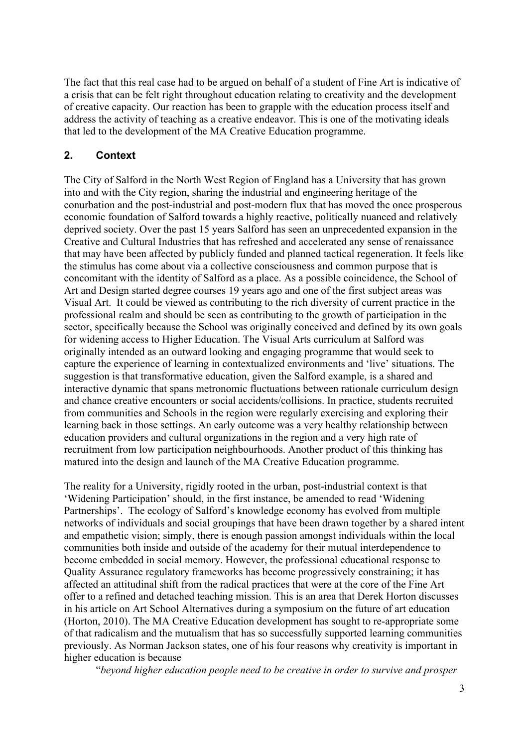The fact that this real case had to be argued on behalf of a student of Fine Art is indicative of a crisis that can be felt right throughout education relating to creativity and the development of creative capacity. Our reaction has been to grapple with the education process itself and address the activity of teaching as a creative endeavor. This is one of the motivating ideals that led to the development of the MA Creative Education programme.

### **2. Context**

The City of Salford in the North West Region of England has a University that has grown into and with the City region, sharing the industrial and engineering heritage of the conurbation and the post-industrial and post-modern flux that has moved the once prosperous economic foundation of Salford towards a highly reactive, politically nuanced and relatively deprived society. Over the past 15 years Salford has seen an unprecedented expansion in the Creative and Cultural Industries that has refreshed and accelerated any sense of renaissance that may have been affected by publicly funded and planned tactical regeneration. It feels like the stimulus has come about via a collective consciousness and common purpose that is concomitant with the identity of Salford as a place. As a possible coincidence, the School of Art and Design started degree courses 19 years ago and one of the first subject areas was Visual Art. It could be viewed as contributing to the rich diversity of current practice in the professional realm and should be seen as contributing to the growth of participation in the sector, specifically because the School was originally conceived and defined by its own goals for widening access to Higher Education. The Visual Arts curriculum at Salford was originally intended as an outward looking and engaging programme that would seek to capture the experience of learning in contextualized environments and 'live' situations. The suggestion is that transformative education, given the Salford example, is a shared and interactive dynamic that spans metronomic fluctuations between rationale curriculum design and chance creative encounters or social accidents/collisions. In practice, students recruited from communities and Schools in the region were regularly exercising and exploring their learning back in those settings. An early outcome was a very healthy relationship between education providers and cultural organizations in the region and a very high rate of recruitment from low participation neighbourhoods. Another product of this thinking has matured into the design and launch of the MA Creative Education programme.

The reality for a University, rigidly rooted in the urban, post-industrial context is that 'Widening Participation' should, in the first instance, be amended to read 'Widening Partnerships'. The ecology of Salford's knowledge economy has evolved from multiple networks of individuals and social groupings that have been drawn together by a shared intent and empathetic vision; simply, there is enough passion amongst individuals within the local communities both inside and outside of the academy for their mutual interdependence to become embedded in social memory. However, the professional educational response to Quality Assurance regulatory frameworks has become progressively constraining; it has affected an attitudinal shift from the radical practices that were at the core of the Fine Art offer to a refined and detached teaching mission. This is an area that Derek Horton discusses in his article on Art School Alternatives during a symposium on the future of art education (Horton, 2010). The MA Creative Education development has sought to re-appropriate some of that radicalism and the mutualism that has so successfully supported learning communities previously. As Norman Jackson states, one of his four reasons why creativity is important in higher education is because

"*beyond higher education people need to be creative in order to survive and prosper*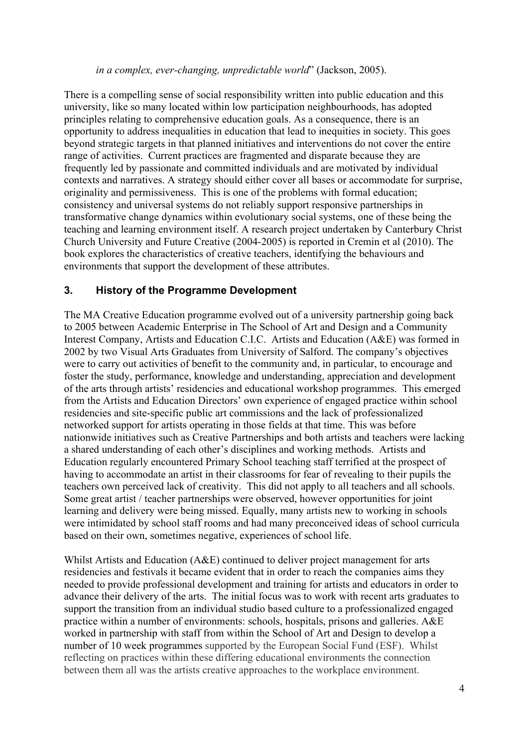#### *in a complex, ever-changing, unpredictable world*" (Jackson, 2005).

There is a compelling sense of social responsibility written into public education and this university, like so many located within low participation neighbourhoods, has adopted principles relating to comprehensive education goals. As a consequence, there is an opportunity to address inequalities in education that lead to inequities in society. This goes beyond strategic targets in that planned initiatives and interventions do not cover the entire range of activities. Current practices are fragmented and disparate because they are frequently led by passionate and committed individuals and are motivated by individual contexts and narratives. A strategy should either cover all bases or accommodate for surprise, originality and permissiveness. This is one of the problems with formal education; consistency and universal systems do not reliably support responsive partnerships in transformative change dynamics within evolutionary social systems, one of these being the teaching and learning environment itself. A research project undertaken by Canterbury Christ Church University and Future Creative (2004-2005) is reported in Cremin et al (2010). The book explores the characteristics of creative teachers, identifying the behaviours and environments that support the development of these attributes.

#### **3. History of the Programme Development**

The MA Creative Education programme evolved out of a university partnership going back to 2005 between Academic Enterprise in The School of Art and Design and a Community Interest Company, Artists and Education C.I.C. Artists and Education (A&E) was formed in 2002 by two Visual Arts Graduates from University of Salford. The company's objectives were to carry out activities of benefit to the community and, in particular, to encourage and foster the study, performance, knowledge and understanding, appreciation and development of the arts through artists' residencies and educational workshop programmes. This emerged from the Artists and Education Directors' own experience of engaged practice within school residencies and site-specific public art commissions and the lack of professionalized networked support for artists operating in those fields at that time. This was before nationwide initiatives such as Creative Partnerships and both artists and teachers were lacking a shared understanding of each other's disciplines and working methods. Artists and Education regularly encountered Primary School teaching staff terrified at the prospect of having to accommodate an artist in their classrooms for fear of revealing to their pupils the teachers own perceived lack of creativity. This did not apply to all teachers and all schools. Some great artist / teacher partnerships were observed, however opportunities for joint learning and delivery were being missed. Equally, many artists new to working in schools were intimidated by school staff rooms and had many preconceived ideas of school curricula based on their own, sometimes negative, experiences of school life.

Whilst Artists and Education (A&E) continued to deliver project management for arts residencies and festivals it became evident that in order to reach the companies aims they needed to provide professional development and training for artists and educators in order to advance their delivery of the arts. The initial focus was to work with recent arts graduates to support the transition from an individual studio based culture to a professionalized engaged practice within a number of environments: schools, hospitals, prisons and galleries. A&E worked in partnership with staff from within the School of Art and Design to develop a number of 10 week programmes supported by the European Social Fund (ESF). Whilst reflecting on practices within these differing educational environments the connection between them all was the artists creative approaches to the workplace environment.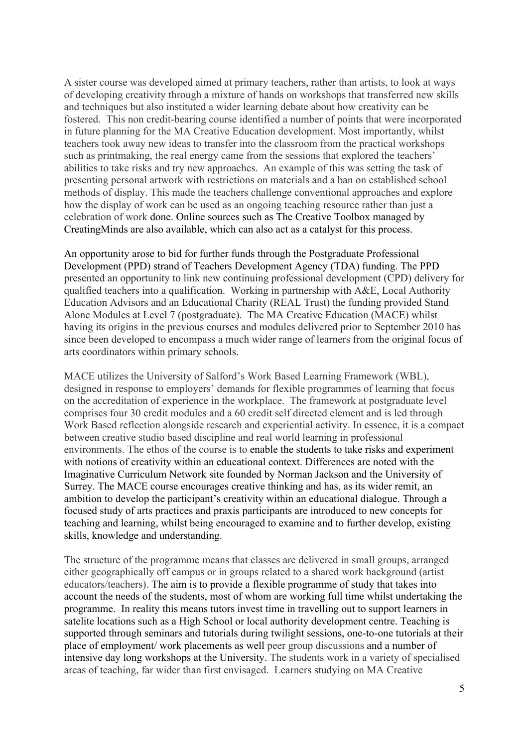A sister course was developed aimed at primary teachers, rather than artists, to look at ways of developing creativity through a mixture of hands on workshops that transferred new skills and techniques but also instituted a wider learning debate about how creativity can be fostered. This non credit-bearing course identified a number of points that were incorporated in future planning for the MA Creative Education development. Most importantly, whilst teachers took away new ideas to transfer into the classroom from the practical workshops such as printmaking, the real energy came from the sessions that explored the teachers' abilities to take risks and try new approaches. An example of this was setting the task of presenting personal artwork with restrictions on materials and a ban on established school methods of display. This made the teachers challenge conventional approaches and explore how the display of work can be used as an ongoing teaching resource rather than just a celebration of work done. Online sources such as The Creative Toolbox managed by CreatingMinds are also available, which can also act as a catalyst for this process.

An opportunity arose to bid for further funds through the Postgraduate Professional Development (PPD) strand of Teachers Development Agency (TDA) funding. The PPD presented an opportunity to link new continuing professional development (CPD) delivery for qualified teachers into a qualification. Working in partnership with A&E, Local Authority Education Advisors and an Educational Charity (REAL Trust) the funding provided Stand Alone Modules at Level 7 (postgraduate). The MA Creative Education (MACE) whilst having its origins in the previous courses and modules delivered prior to September 2010 has since been developed to encompass a much wider range of learners from the original focus of arts coordinators within primary schools.

MACE utilizes the University of Salford's Work Based Learning Framework (WBL), designed in response to employers' demands for flexible programmes of learning that focus on the accreditation of experience in the workplace. The framework at postgraduate level comprises four 30 credit modules and a 60 credit self directed element and is led through Work Based reflection alongside research and experiential activity. In essence, it is a compact between creative studio based discipline and real world learning in professional environments. The ethos of the course is to enable the students to take risks and experiment with notions of creativity within an educational context. Differences are noted with the Imaginative Curriculum Network site founded by Norman Jackson and the University of Surrey. The MACE course encourages creative thinking and has, as its wider remit, an ambition to develop the participant's creativity within an educational dialogue. Through a focused study of arts practices and praxis participants are introduced to new concepts for teaching and learning, whilst being encouraged to examine and to further develop, existing skills, knowledge and understanding.

The structure of the programme means that classes are delivered in small groups, arranged either geographically off campus or in groups related to a shared work background (artist educators/teachers). The aim is to provide a flexible programme of study that takes into account the needs of the students, most of whom are working full time whilst undertaking the programme. In reality this means tutors invest time in travelling out to support learners in satelite locations such as a High School or local authority development centre. Teaching is supported through seminars and tutorials during twilight sessions, one-to-one tutorials at their place of employment/ work placements as well peer group discussions and a number of intensive day long workshops at the University. The students work in a variety of specialised areas of teaching, far wider than first envisaged. Learners studying on MA Creative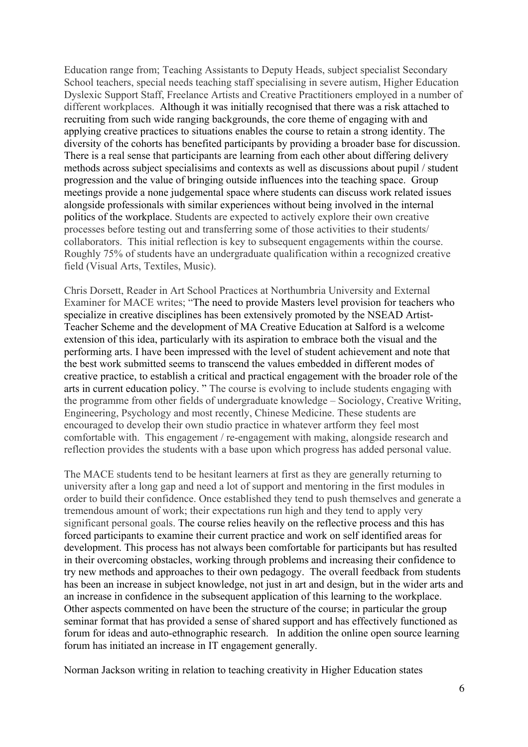Education range from; Teaching Assistants to Deputy Heads, subject specialist Secondary School teachers, special needs teaching staff specialising in severe autism, Higher Education Dyslexic Support Staff, Freelance Artists and Creative Practitioners employed in a number of different workplaces. Although it was initially recognised that there was a risk attached to recruiting from such wide ranging backgrounds, the core theme of engaging with and applying creative practices to situations enables the course to retain a strong identity. The diversity of the cohorts has benefited participants by providing a broader base for discussion. There is a real sense that participants are learning from each other about differing delivery methods across subject specialisims and contexts as well as discussions about pupil / student progression and the value of bringing outside influences into the teaching space. Group meetings provide a none judgemental space where students can discuss work related issues alongside professionals with similar experiences without being involved in the internal politics of the workplace. Students are expected to actively explore their own creative processes before testing out and transferring some of those activities to their students/ collaborators. This initial reflection is key to subsequent engagements within the course. Roughly 75% of students have an undergraduate qualification within a recognized creative field (Visual Arts, Textiles, Music).

Chris Dorsett, Reader in Art School Practices at Northumbria University and External Examiner for MACE writes; "The need to provide Masters level provision for teachers who specialize in creative disciplines has been extensively promoted by the NSEAD Artist-Teacher Scheme and the development of MA Creative Education at Salford is a welcome extension of this idea, particularly with its aspiration to embrace both the visual and the performing arts. I have been impressed with the level of student achievement and note that the best work submitted seems to transcend the values embedded in different modes of creative practice, to establish a critical and practical engagement with the broader role of the arts in current education policy. " The course is evolving to include students engaging with the programme from other fields of undergraduate knowledge – Sociology, Creative Writing, Engineering, Psychology and most recently, Chinese Medicine. These students are encouraged to develop their own studio practice in whatever artform they feel most comfortable with. This engagement / re-engagement with making, alongside research and reflection provides the students with a base upon which progress has added personal value.

The MACE students tend to be hesitant learners at first as they are generally returning to university after a long gap and need a lot of support and mentoring in the first modules in order to build their confidence. Once established they tend to push themselves and generate a tremendous amount of work; their expectations run high and they tend to apply very significant personal goals. The course relies heavily on the reflective process and this has forced participants to examine their current practice and work on self identified areas for development. This process has not always been comfortable for participants but has resulted in their overcoming obstacles, working through problems and increasing their confidence to try new methods and approaches to their own pedagogy. The overall feedback from students has been an increase in subject knowledge, not just in art and design, but in the wider arts and an increase in confidence in the subsequent application of this learning to the workplace. Other aspects commented on have been the structure of the course; in particular the group seminar format that has provided a sense of shared support and has effectively functioned as forum for ideas and auto-ethnographic research. In addition the online open source learning forum has initiated an increase in IT engagement generally.

Norman Jackson writing in relation to teaching creativity in Higher Education states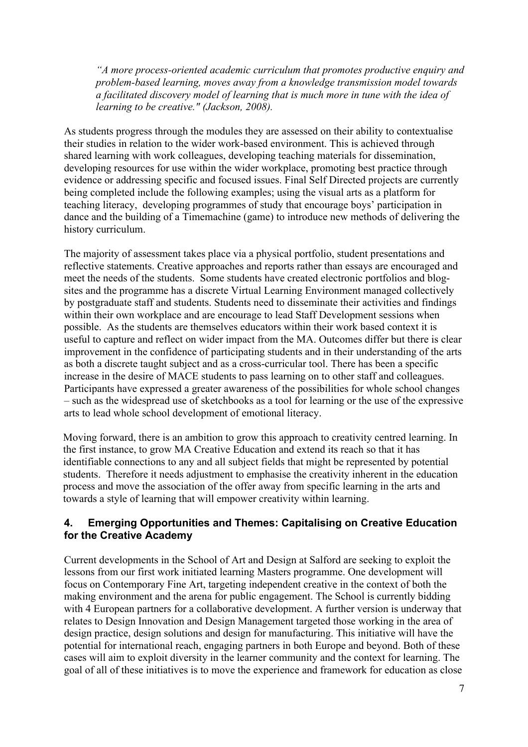*"A more process-oriented academic curriculum that promotes productive enquiry and problem-based learning, moves away from a knowledge transmission model towards a facilitated discovery model of learning that is much more in tune with the idea of learning to be creative." (Jackson, 2008).*

As students progress through the modules they are assessed on their ability to contextualise their studies in relation to the wider work-based environment. This is achieved through shared learning with work colleagues, developing teaching materials for dissemination, developing resources for use within the wider workplace, promoting best practice through evidence or addressing specific and focused issues. Final Self Directed projects are currently being completed include the following examples; using the visual arts as a platform for teaching literacy, developing programmes of study that encourage boys' participation in dance and the building of a Timemachine (game) to introduce new methods of delivering the history curriculum.

The majority of assessment takes place via a physical portfolio, student presentations and reflective statements. Creative approaches and reports rather than essays are encouraged and meet the needs of the students. Some students have created electronic portfolios and blogsites and the programme has a discrete Virtual Learning Environment managed collectively by postgraduate staff and students. Students need to disseminate their activities and findings within their own workplace and are encourage to lead Staff Development sessions when possible. As the students are themselves educators within their work based context it is useful to capture and reflect on wider impact from the MA. Outcomes differ but there is clear improvement in the confidence of participating students and in their understanding of the arts as both a discrete taught subject and as a cross-curricular tool. There has been a specific increase in the desire of MACE students to pass learning on to other staff and colleagues. Participants have expressed a greater awareness of the possibilities for whole school changes – such as the widespread use of sketchbooks as a tool for learning or the use of the expressive arts to lead whole school development of emotional literacy.

Moving forward, there is an ambition to grow this approach to creativity centred learning. In the first instance, to grow MA Creative Education and extend its reach so that it has identifiable connections to any and all subject fields that might be represented by potential students. Therefore it needs adjustment to emphasise the creativity inherent in the education process and move the association of the offer away from specific learning in the arts and towards a style of learning that will empower creativity within learning.

## **4. Emerging Opportunities and Themes: Capitalising on Creative Education for the Creative Academy**

Current developments in the School of Art and Design at Salford are seeking to exploit the lessons from our first work initiated learning Masters programme. One development will focus on Contemporary Fine Art, targeting independent creative in the context of both the making environment and the arena for public engagement. The School is currently bidding with 4 European partners for a collaborative development. A further version is underway that relates to Design Innovation and Design Management targeted those working in the area of design practice, design solutions and design for manufacturing. This initiative will have the potential for international reach, engaging partners in both Europe and beyond. Both of these cases will aim to exploit diversity in the learner community and the context for learning. The goal of all of these initiatives is to move the experience and framework for education as close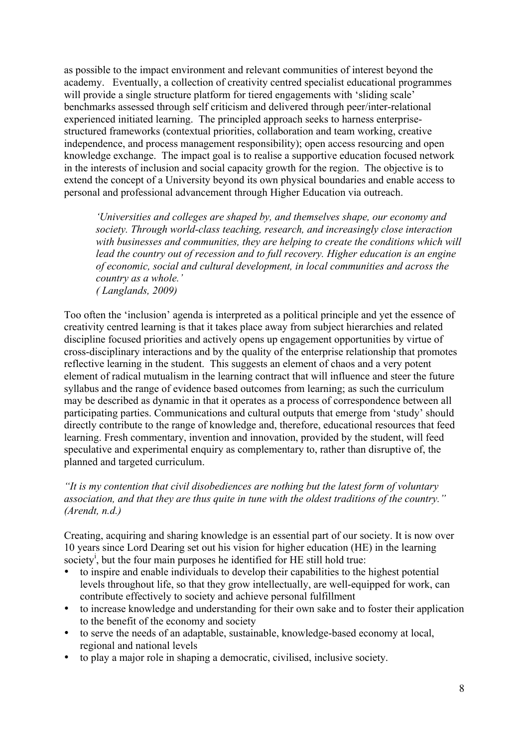as possible to the impact environment and relevant communities of interest beyond the academy. Eventually, a collection of creativity centred specialist educational programmes will provide a single structure platform for tiered engagements with 'sliding scale' benchmarks assessed through self criticism and delivered through peer/inter-relational experienced initiated learning. The principled approach seeks to harness enterprisestructured frameworks (contextual priorities, collaboration and team working, creative independence, and process management responsibility); open access resourcing and open knowledge exchange. The impact goal is to realise a supportive education focused network in the interests of inclusion and social capacity growth for the region. The objective is to extend the concept of a University beyond its own physical boundaries and enable access to personal and professional advancement through Higher Education via outreach.

*'Universities and colleges are shaped by, and themselves shape, our economy and society. Through world-class teaching, research, and increasingly close interaction with businesses and communities, they are helping to create the conditions which will lead the country out of recession and to full recovery. Higher education is an engine of economic, social and cultural development, in local communities and across the country as a whole.' ( Langlands, 2009)*

Too often the 'inclusion' agenda is interpreted as a political principle and yet the essence of creativity centred learning is that it takes place away from subject hierarchies and related discipline focused priorities and actively opens up engagement opportunities by virtue of cross-disciplinary interactions and by the quality of the enterprise relationship that promotes reflective learning in the student. This suggests an element of chaos and a very potent element of radical mutualism in the learning contract that will influence and steer the future syllabus and the range of evidence based outcomes from learning; as such the curriculum may be described as dynamic in that it operates as a process of correspondence between all participating parties. Communications and cultural outputs that emerge from 'study' should directly contribute to the range of knowledge and, therefore, educational resources that feed learning. Fresh commentary, invention and innovation, provided by the student, will feed speculative and experimental enquiry as complementary to, rather than disruptive of, the planned and targeted curriculum.

*"It is my contention that civil disobediences are nothing but the latest form of voluntary association, and that they are thus quite in tune with the oldest traditions of the country." (Arendt, n.d.)*

Creating, acquiring and sharing knowledge is an essential part of our society. It is now over 10 years since Lord Dearing set out his vision for higher education (HE) in the learning society<sup>i</sup>, but the four main purposes he identified for HE still hold true:

- to inspire and enable individuals to develop their capabilities to the highest potential levels throughout life, so that they grow intellectually, are well-equipped for work, can contribute effectively to society and achieve personal fulfillment
- to increase knowledge and understanding for their own sake and to foster their application to the benefit of the economy and society
- to serve the needs of an adaptable, sustainable, knowledge-based economy at local, regional and national levels
- to play a major role in shaping a democratic, civilised, inclusive society.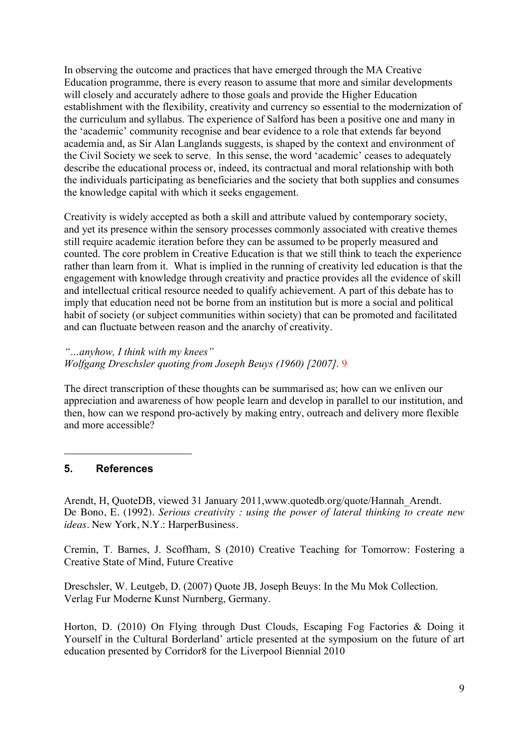In observing the outcome and practices that have emerged through the MA Creative Education programme, there is every reason to assume that more and similar developments will closely and accurately adhere to those goals and provide the Higher Education establishment with the flexibility, creativity and currency so essential to the modernization of the curriculum and syllabus. The experience of Salford has been a positive one and many in the 'academic' community recognise and bear evidence to a role that extends far beyond academia and, as Sir Alan Langlands suggests, is shaped by the context and environment of the Civil Society we seek to serve. In this sense, the word 'academic' ceases to adequately describe the educational process or, indeed, its contractual and moral relationship with both the individuals participating as beneficiaries and the society that both supplies and consumes the knowledge capital with which it seeks engagement.

Creativity is widely accepted as both a skill and attribute valued by contemporary society, and yet its presence within the sensory processes commonly associated with creative themes still require academic iteration before they can be assumed to be properly measured and counted. The core problem in Creative Education is that we still think to teach the experience rather than learn from it. What is implied in the running of creativity led education is that the engagement with knowledge through creativity and practice provides all the evidence of skill and intellectual critical resource needed to qualify achievement. A part of this debate has to imply that education need not be borne from an institution but is more a social and political habit of society (or subject communities within society) that can be promoted and facilitated and can fluctuate between reason and the anarchy of creativity.

*"…anyhow, I think with my knees" Wolfgang Dreschsler quoting from Joseph Beuys (1960) [2007].* 9

The direct transcription of these thoughts can be summarised as; how can we enliven our appreciation and awareness of how people learn and develop in parallel to our institution, and then, how can we respond pro-actively by making entry, outreach and delivery more flexible and more accessible?

#### **5. References**

 $\overline{a}$ 

Arendt, H, QuoteDB, viewed 31 January 2011,www.quotedb.org/quote/Hannah\_Arendt. De Bono, E. (1992). *Serious creativity : using the power of lateral thinking to create new ideas*. New York, N.Y.: HarperBusiness.

Cremin, T. Barnes, J. Scoffham, S (2010) Creative Teaching for Tomorrow: Fostering a Creative State of Mind, Future Creative

Dreschsler, W. Leutgeb, D. (2007) Quote JB, Joseph Beuys: In the Mu Mok Collection. Verlag Fur Moderne Kunst Nurnberg, Germany.

Horton, D. (2010) On Flying through Dust Clouds, Escaping Fog Factories & Doing it Yourself in the Cultural Borderland' article presented at the symposium on the future of art education presented by Corridor8 for the Liverpool Biennial 2010